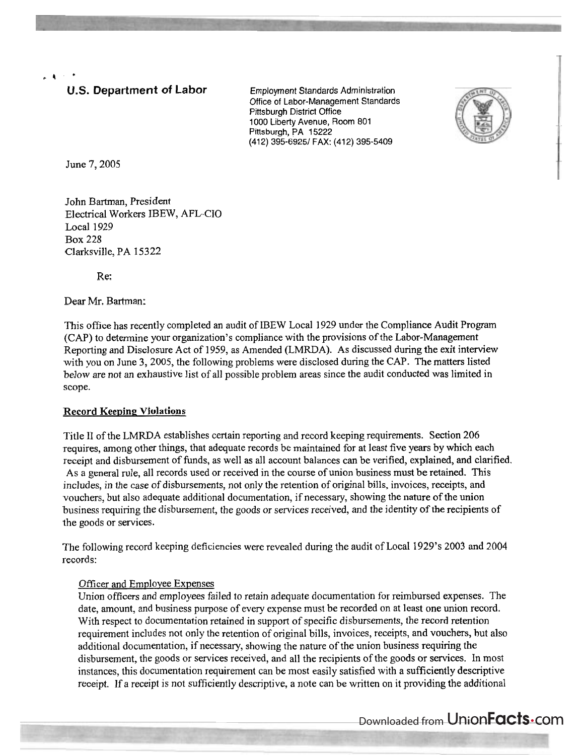.& \*

# **U.S. Department of Labor** Employment Standards Administration

Office of Labor-Management Standards Pittsburgh District Office 1000 Liberty Avenue, Room 801 Pittsburgh, PA 15222 (412) 395-69251 FAX: (412) 395-5409



June 7,2005

John Bartman, President Electrical Workers IBEW, AFL-CIO Local 1929 Box 228 Clarksville, PA 15322

Re:

Dear Mr. Bartman:

This office has recently completed an audit of IBEW Local 1929 under the Compliance Audit Program (CAP) to determine your organization's compliance with the provisions of the Labor-Management Reporting and Disclosure Act of 1959, as Amended (LMRDA). As discussed during the exit interview with you on June 3, 2005, the following problems were disclosed during the CAP. The matters listed below are not an exhaustive list of all possible problem areas since the audit conducted was limited in scope.

### Record Keeping Violations

Title I1 of the LMRDA establishes certain reporting and record keeping requirements. Section 206 requires, among other things, that adequate records be maintained for at least five years by which each receipt and disbursement of funds, as well as all account balances can be verified, explained, and clarified. As a general rule, all records used or received in the course of union business must be retained. This includes, in the case of disbursements, not only the retention of original bills, invoices, receipts, and vouchers, but also adequate additional documentation, if necessary, showing the nature of the union business requiring the disbursement, the goods or services received, and the identity of the recipients of the goods or services.

The following record keeping deficiencies were revealed during the audit of Local 1929's 2003 and 2004 records:

### Officer and Employee Expenses

Union officers and employees failed to retain adequate documentation for reimbursed expenses. The date, amount, and business purpose of every expense must be recorded on at least one union record. With respect to documentation retained in support of specific disbursements, the record retention requirement includes not only the retention of original bills, invoices, receipts, and vouchers, but also additional documentation, if necessary, showing the nature of the union business requiring the disbursement, the goods or services received, and all the recipients of the goods or services. In most instances, this documentation requirement can be most easily satisfied with a sufficiently descriptive receipt. If a receipt is not sufficiently descriptive, a note can be written on it providing the additional